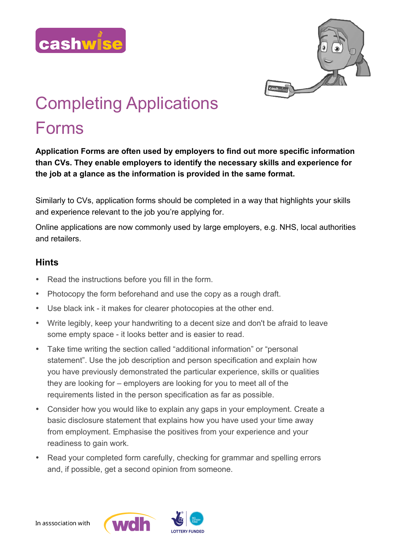



# Completing Applications

# Forms

**Application Forms are often used by employers to find out more specific information than CVs. They enable employers to identify the necessary skills and experience for the job at a glance as the information is provided in the same format.**

Similarly to CVs, application forms should be completed in a way that highlights your skills and experience relevant to the job you're applying for.

Online applications are now commonly used by large employers, e.g. NHS, local authorities and retailers.

### **Hints**

- Read the instructions before you fill in the form.
- Photocopy the form beforehand and use the copy as a rough draft.
- Use black ink it makes for clearer photocopies at the other end.
- Write legibly, keep your handwriting to a decent size and don't be afraid to leave some empty space - it looks better and is easier to read.
- Take time writing the section called "additional information" or "personal statement". Use the job description and person specification and explain how you have previously demonstrated the particular experience, skills or qualities they are looking for – employers are looking for you to meet all of the requirements listed in the person specification as far as possible.
- Consider how you would like to explain any gaps in your employment. Create a basic disclosure statement that explains how you have used your time away from employment. Emphasise the positives from your experience and your readiness to gain work.
- Read your completed form carefully, checking for grammar and spelling errors and, if possible, get a second opinion from someone.

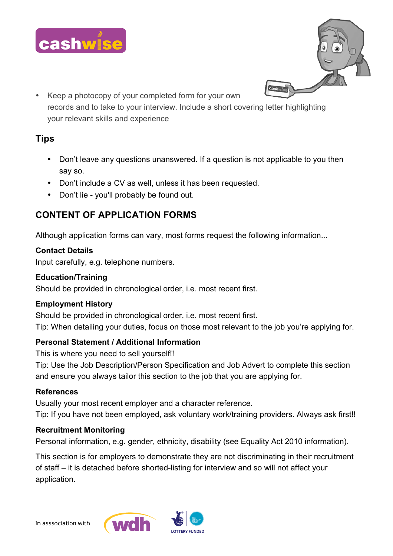



• Keep a photocopy of your completed form for your own records and to take to your interview. Include a short covering letter highlighting your relevant skills and experience

## **Tips**

- Don't leave any questions unanswered. If a question is not applicable to you then say so.
- Don't include a CV as well, unless it has been requested.
- Don't lie you'll probably be found out.

# **CONTENT OF APPLICATION FORMS**

Although application forms can vary, most forms request the following information...

#### **Contact Details**

Input carefully, e.g. telephone numbers.

#### **Education/Training**

Should be provided in chronological order, i.e. most recent first.

#### **Employment History**

Should be provided in chronological order, i.e. most recent first. Tip: When detailing your duties, focus on those most relevant to the job you're applying for.

#### **Personal Statement / Additional Information**

This is where you need to sell yourself!!

Tip: Use the Job Description/Person Specification and Job Advert to complete this section and ensure you always tailor this section to the job that you are applying for.

#### **References**

Usually your most recent employer and a character reference. Tip: If you have not been employed, ask voluntary work/training providers. Always ask first!!

#### **Recruitment Monitoring**

Personal information, e.g. gender, ethnicity, disability (see Equality Act 2010 information).

This section is for employers to demonstrate they are not discriminating in their recruitment of staff – it is detached before shorted-listing for interview and so will not affect your application.

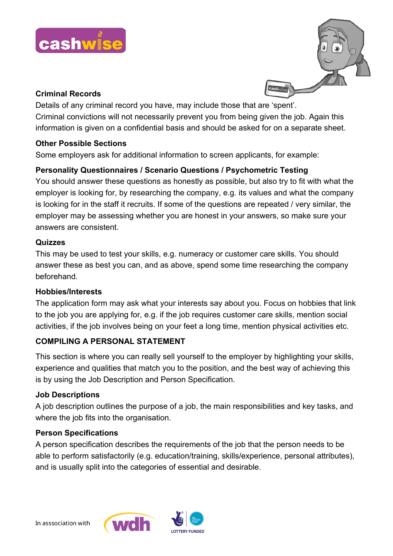



#### **Criminal Records**

Details of any criminal record you have, may include those that are 'spent'. Criminal convictions will not necessarily prevent you from being given the job. Again this information is given on a confidential basis and should be asked for on a separate sheet.

#### **Other Possible Sections**

Some employers ask for additional information to screen applicants, for example:

#### **Personality Questionnaires / Scenario Questions / Psychometric Testing**

You should answer these questions as honestly as possible, but also try to fit with what the employer is looking for, by researching the company, e.g. its values and what the company is looking for in the staff it recruits. If some of the questions are repeated / very similar, the employer may be assessing whether you are honest in your answers, so make sure your answers are consistent.

#### **Quizzes**

This may be used to test your skills, e.g. numeracy or customer care skills. You should answer these as best you can, and as above, spend some time researching the company beforehand.

#### **Hobbies/Interests**

The application form may ask what your interests say about you. Focus on hobbies that link to the job you are applying for, e.g. if the job requires customer care skills, mention social activities, if the job involves being on your feet a long time, mention physical activities etc.

#### **COMPILING A PERSONAL STATEMENT**

This section is where you can really sell yourself to the employer by highlighting your skills, experience and qualities that match you to the position, and the best way of achieving this is by using the Job Description and Person Specification.

#### **Job Descriptions**

A job description outlines the purpose of a job, the main responsibilities and key tasks, and where the job fits into the organisation.

#### **Person Specifications**

A person specification describes the requirements of the job that the person needs to be able to perform satisfactorily (e.g. education/training, skills/experience, personal attributes), and is usually split into the categories of essential and desirable.

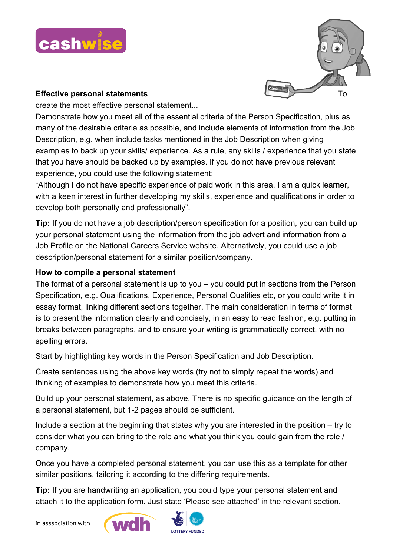



#### **Effective personal statements** To

create the most effective personal statement...

Demonstrate how you meet all of the essential criteria of the Person Specification, plus as many of the desirable criteria as possible, and include elements of information from the Job Description, e.g. when include tasks mentioned in the Job Description when giving examples to back up your skills/ experience. As a rule, any skills / experience that you state that you have should be backed up by examples. If you do not have previous relevant experience, you could use the following statement:

"Although I do not have specific experience of paid work in this area, I am a quick learner, with a keen interest in further developing my skills, experience and qualifications in order to develop both personally and professionally".

**Tip:** If you do not have a job description/person specification for a position, you can build up your personal statement using the information from the job advert and information from a Job Profile on the National Careers Service website. Alternatively, you could use a job description/personal statement for a similar position/company.

#### **How to compile a personal statement**

The format of a personal statement is up to you – you could put in sections from the Person Specification, e.g. Qualifications, Experience, Personal Qualities etc, or you could write it in essay format, linking different sections together. The main consideration in terms of format is to present the information clearly and concisely, in an easy to read fashion, e.g. putting in breaks between paragraphs, and to ensure your writing is grammatically correct, with no spelling errors.

Start by highlighting key words in the Person Specification and Job Description.

Create sentences using the above key words (try not to simply repeat the words) and thinking of examples to demonstrate how you meet this criteria.

Build up your personal statement, as above. There is no specific guidance on the length of a personal statement, but 1-2 pages should be sufficient.

Include a section at the beginning that states why you are interested in the position – try to consider what you can bring to the role and what you think you could gain from the role / company.

Once you have a completed personal statement, you can use this as a template for other similar positions, tailoring it according to the differing requirements.

**Tip:** If you are handwriting an application, you could type your personal statement and attach it to the application form. Just state 'Please see attached' in the relevant section.



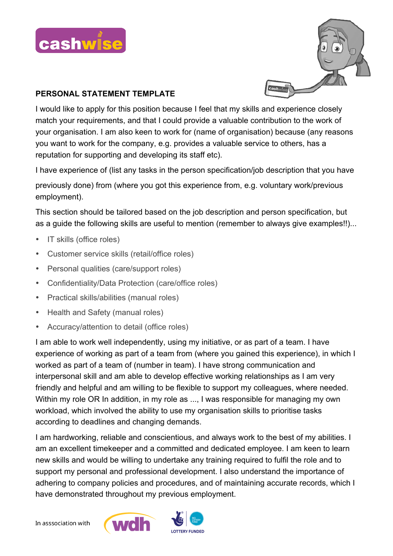



#### **PERSONAL STATEMENT TEMPLATE**

I would like to apply for this position because I feel that my skills and experience closely match your requirements, and that I could provide a valuable contribution to the work of your organisation. I am also keen to work for (name of organisation) because (any reasons you want to work for the company, e.g. provides a valuable service to others, has a reputation for supporting and developing its staff etc).

I have experience of (list any tasks in the person specification/job description that you have

previously done) from (where you got this experience from, e.g. voluntary work/previous employment).

This section should be tailored based on the job description and person specification, but as a guide the following skills are useful to mention (remember to always give examples!!)...

- IT skills (office roles)
- Customer service skills (retail/office roles)
- Personal qualities (care/support roles)
- Confidentiality/Data Protection (care/office roles)
- Practical skills/abilities (manual roles)
- Health and Safety (manual roles)
- Accuracy/attention to detail (office roles)

I am able to work well independently, using my initiative, or as part of a team. I have experience of working as part of a team from (where you gained this experience), in which I worked as part of a team of (number in team). I have strong communication and interpersonal skill and am able to develop effective working relationships as I am very friendly and helpful and am willing to be flexible to support my colleagues, where needed. Within my role OR In addition, in my role as ..., I was responsible for managing my own workload, which involved the ability to use my organisation skills to prioritise tasks according to deadlines and changing demands.

I am hardworking, reliable and conscientious, and always work to the best of my abilities. I am an excellent timekeeper and a committed and dedicated employee. I am keen to learn new skills and would be willing to undertake any training required to fulfil the role and to support my personal and professional development. I also understand the importance of adhering to company policies and procedures, and of maintaining accurate records, which I have demonstrated throughout my previous employment.